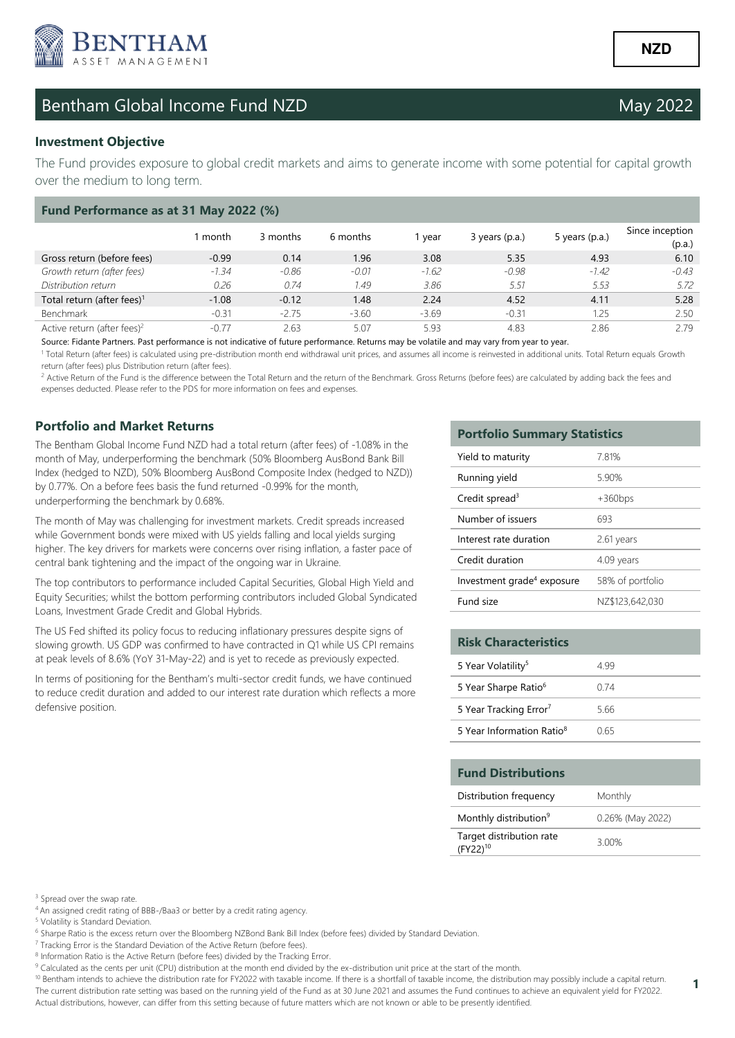

# Bentham Global Income Fund NZD May 2022

### **Investment Objective**

The Fund provides exposure to global credit markets and aims to generate income with some potential for capital growth over the medium to long term.

| Fund Performance as at 31 May 2022 (%)  |         |          |          |         |                  |                  |                           |  |
|-----------------------------------------|---------|----------|----------|---------|------------------|------------------|---------------------------|--|
|                                         | 1 month | 3 months | 6 months | vear    | $3$ years (p.a.) | 5 years $(p.a.)$ | Since inception<br>(p.a.) |  |
| Gross return (before fees)              | $-0.99$ | 0.14     | 1.96     | 3.08    | 5.35             | 4.93             | 6.10                      |  |
| Growth return (after fees)              | $-1.34$ | $-0.86$  | $-0.01$  | $-1.62$ | $-0.98$          | $-1.42$          | $-0.43$                   |  |
| Distribution return                     | 0.26    | 0.74     | 1.49     | 3.86    | 5.51             | 5.53             | 5.72                      |  |
| Total return (after fees) <sup>1</sup>  | $-1.08$ | $-0.12$  | 1.48     | 2.24    | 4.52             | 4.11             | 5.28                      |  |
| Benchmark                               | $-0.31$ | $-2.75$  | $-3.60$  | $-3.69$ | $-0.31$          | 1.25             | 2.50                      |  |
| Active return (after fees) <sup>2</sup> | $-0.77$ | 2.63     | 5.07     | 5.93    | 4.83             | 2.86             | 2.79                      |  |

Source: Fidante Partners. Past performance is not indicative of future performance. Returns may be volatile and may vary from year to year.

<sup>1</sup> Total Return (after fees) is calculated using pre-distribution month end withdrawal unit prices, and assumes all income is reinvested in additional units. Total Return equals Growth return (after fees) plus Distribution return (after fees).

<sup>2</sup> Active Return of the Fund is the difference between the Total Return and the return of the Benchmark. Gross Returns (before fees) are calculated by adding back the fees and expenses deducted. Please refer to the PDS for more information on fees and expenses.

## **Portfolio and Market Returns**

The Bentham Global Income Fund NZD had a total return (after fees) of -1.08% in the month of May, underperforming the benchmark (50% Bloomberg AusBond Bank Bill Index (hedged to NZD), 50% Bloomberg AusBond Composite Index (hedged to NZD)) by 0.77%. On a before fees basis the fund returned -0.99% for the month, underperforming the benchmark by 0.68%.

The month of May was challenging for investment markets. Credit spreads increased while Government bonds were mixed with US yields falling and local yields surging higher. The key drivers for markets were concerns over rising inflation, a faster pace of central bank tightening and the impact of the ongoing war in Ukraine.

The top contributors to performance included Capital Securities, Global High Yield and Equity Securities; whilst the bottom performing contributors included Global Syndicated Loans, Investment Grade Credit and Global Hybrids.

The US Fed shifted its policy focus to reducing inflationary pressures despite signs of slowing growth. US GDP was confirmed to have contracted in Q1 while US CPI remains at peak levels of 8.6% (YoY 31-May-22) and is yet to recede as previously expected.

In terms of positioning for the Bentham's multi-sector credit funds, we have continued to reduce credit duration and added to our interest rate duration which reflects a more defensive position.

### **Portfolio Summary Statistics**

| Yield to maturity                      | 7.81%            |
|----------------------------------------|------------------|
| Running yield                          | 5.90%            |
| Credit spread <sup>3</sup>             | $+360bps$        |
| Number of issuers                      | 693              |
| Interest rate duration                 | 2.61 years       |
| Credit duration                        | 4.09 years       |
| Investment grade <sup>4</sup> exposure | 58% of portfolio |
| Fund size                              | NZ\$123,642,030  |

| <b>Risk Characteristics</b>           |      |
|---------------------------------------|------|
| 5 Year Volatility <sup>5</sup>        | 4 99 |
| 5 Year Sharpe Ratio <sup>6</sup>      | 0 74 |
| 5 Year Tracking Error <sup>7</sup>    | 5.66 |
| 5 Year Information Ratio <sup>8</sup> | N 65 |

| <b>Fund Distributions</b>                        |                  |
|--------------------------------------------------|------------------|
| Distribution frequency                           | Monthly          |
| Monthly distribution <sup>9</sup>                | 0.26% (May 2022) |
| Target distribution rate<br>(FY22) <sup>10</sup> | 3.00%            |

**1** 

<sup>3</sup> Spread over the swap rate.

<sup>4</sup>An assigned credit rating of BBB-/Baa3 or better by a credit rating agency.

5 Volatility is Standard Deviation.

<sup>6</sup> Sharpe Ratio is the excess return over the Bloomberg NZBond Bank Bill Index (before fees) divided by Standard Deviation.

<sup>7</sup> Tracking Error is the Standard Deviation of the Active Return (before fees).

<sup>8</sup> Information Ratio is the Active Return (before fees) divided by the Tracking Error.

<sup>9</sup> Calculated as the cents per unit (CPU) distribution at the month end divided by the ex-distribution unit price at the start of the month.

<sup>10</sup> Bentham intends to achieve the distribution rate for FY2022 with taxable income. If there is a shortfall of taxable income, the distribution may possibly include a capital return. The current distribution rate setting was based on the running yield of the Fund as at 30 June 2021 and assumes the Fund continues to achieve an equivalent yield for FY2022. Actual distributions, however, can differ from this setting because of future matters which are not known or able to be presently identified.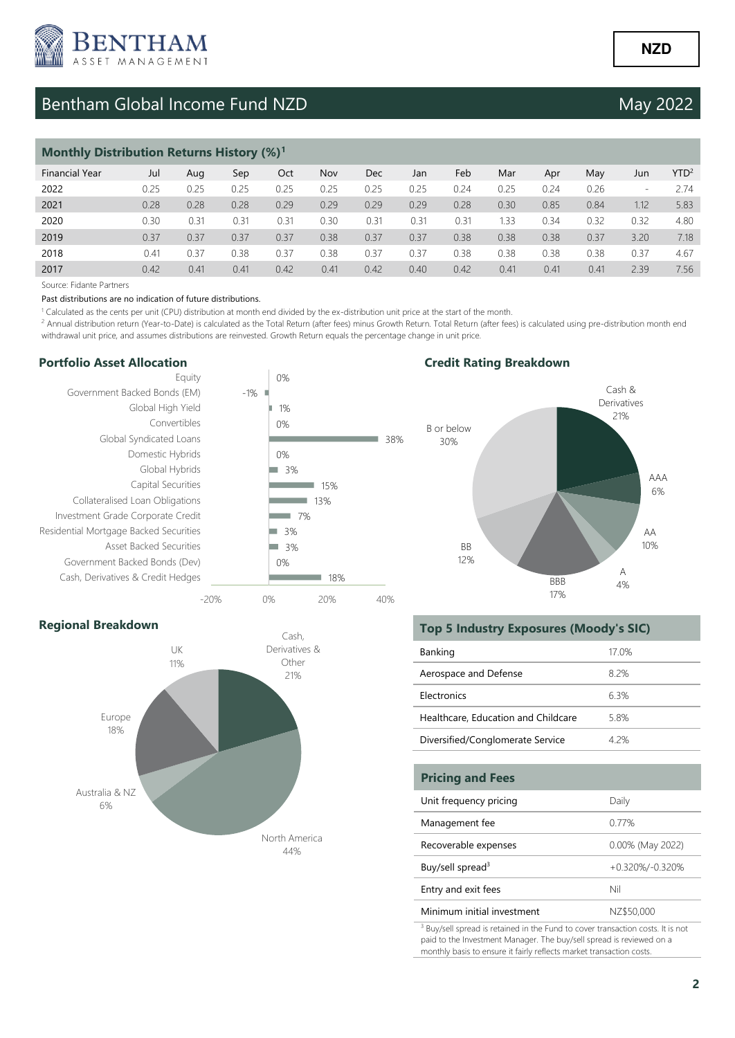

# Bentham Global Income Fund NZD May 2022

| <b>Monthly Distribution Returns History (%)</b> <sup>1</sup> |      |      |      |      |      |      |      |      |      |      |      |                          |                  |
|--------------------------------------------------------------|------|------|------|------|------|------|------|------|------|------|------|--------------------------|------------------|
| <b>Financial Year</b>                                        | Jul  | Aug  | Sep  | Oct  | Nov  | Dec  | Jan  | Feb  | Mar  | Apr  | May  | Jun                      | YTD <sup>2</sup> |
| 2022                                                         | 0.25 | 0.25 | 0.25 | 0.25 | 0.25 | 0.25 | 0.25 | 0.24 | 0.25 | 0.24 | 0.26 | $\overline{\phantom{0}}$ | 2.74             |
| 2021                                                         | 0.28 | 0.28 | 0.28 | 0.29 | 0.29 | 0.29 | 0.29 | 0.28 | 0.30 | 0.85 | 0.84 | 1.12                     | 5.83             |
| 2020                                                         | 0.30 | 0.31 | 0.31 | 0.31 | 0.30 | 0.31 | 0.31 | 0.31 | 1.33 | 0.34 | 0.32 | 0.32                     | 4.80             |
| 2019                                                         | 0.37 | 0.37 | 0.37 | 0.37 | 0.38 | 0.37 | 0.37 | 0.38 | 0.38 | 0.38 | 0.37 | 3.20                     | 7.18             |
| 2018                                                         | 0.41 | 0.37 | 0.38 | 0.37 | 0.38 | 0.37 | 0.37 | 0.38 | 0.38 | 0.38 | 0.38 | 0.37                     | 4.67             |
| 2017                                                         | 0.42 | 0.41 | 0.41 | 0.42 | 0.41 | 0.42 | 0.40 | 0.42 | 0.41 | 0.41 | 0.41 | 2.39                     | 7.56             |

Source: Fidante Partners

#### Past distributions are no indication of future distributions.

<sup>1</sup> Calculated as the cents per unit (CPU) distribution at month end divided by the ex-distribution unit price at the start of the month.

<sup>2</sup> Annual distribution return (Year-to-Date) is calculated as the Total Return (after fees) minus Growth Return. Total Return (after fees) is calculated using pre-distribution month end withdrawal unit price, and assumes distributions are reinvested. Growth Return equals the percentage change in unit price.

#### **Portfolio Asset Allocation**



## **Credit Rating Breakdown**



### **Regional Breakdown**



### **Top 5 Industry Exposures (Moody's SIC)**

| Banking                             | 17 0% |
|-------------------------------------|-------|
| Aerospace and Defense               | 82%   |
| Electronics                         | 63%   |
| Healthcare, Education and Childcare | 58%   |
| Diversified/Conglomerate Service    | 4 2%  |

| <b>Pricing and Fees</b>      |                  |
|------------------------------|------------------|
| Unit frequency pricing       | Daily            |
| Management fee               | 0.77%            |
| Recoverable expenses         | 0.00% (May 2022) |
| Buy/sell spread <sup>3</sup> | +0.320%/-0.320%  |
| Entry and exit fees          | Nil              |
| Minimum initial investment   | NZ\$50,000       |

<sup>3</sup> Buy/sell spread is retained in the Fund to cover transaction costs. It is not paid to the Investment Manager. The buy/sell spread is reviewed on a monthly basis to ensure it fairly reflects market transaction costs.